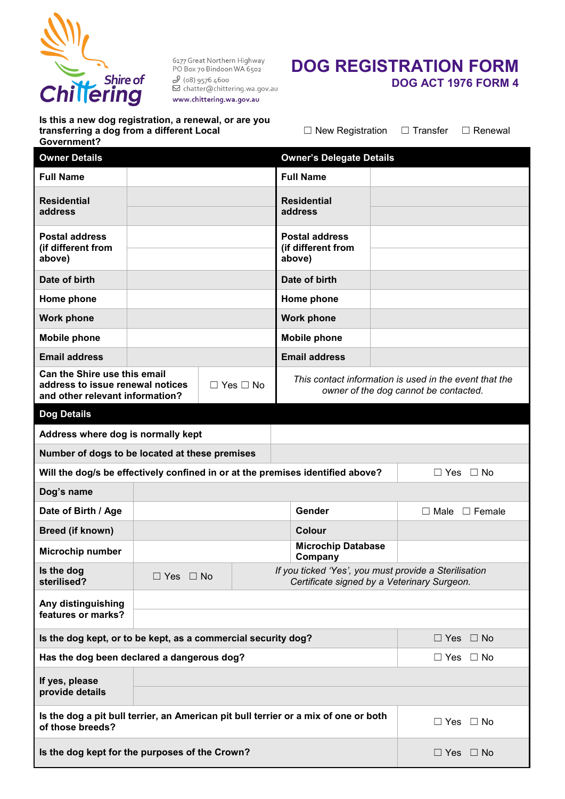

6177 Great Northern Highway<br>PO Box 70 Bindoon WA 6502  $\begin{array}{l} \mathscr{S}\left(08\right) \text{g576 4600} \\ \text{683 }\text{g576 4600} \\ \end{array}$ www.chittering.wa.gov.au

# **DOG REGISTRATION FORM DOG ACT 1976 FORM 4**

**Is this a new dog registration, a renewal, or are you transferring a dog from a different Local Government?**

☐ New Registration ☐ Transfer ☐ Renewal

| <b>Owner Details</b>                                                                                                               |                      |        |                                                                                                      | <b>Owner's Delegate Details</b>                                                                 |  |                           |  |  |  |  |  |
|------------------------------------------------------------------------------------------------------------------------------------|----------------------|--------|------------------------------------------------------------------------------------------------------|-------------------------------------------------------------------------------------------------|--|---------------------------|--|--|--|--|--|
| <b>Full Name</b>                                                                                                                   |                      |        |                                                                                                      | <b>Full Name</b>                                                                                |  |                           |  |  |  |  |  |
| <b>Residential</b><br>address                                                                                                      |                      |        |                                                                                                      | <b>Residential</b><br>address                                                                   |  |                           |  |  |  |  |  |
| <b>Postal address</b><br>(if different from<br>above)                                                                              |                      |        |                                                                                                      | <b>Postal address</b><br>(if different from<br>above)                                           |  |                           |  |  |  |  |  |
| Date of birth                                                                                                                      |                      |        |                                                                                                      | Date of birth                                                                                   |  |                           |  |  |  |  |  |
| Home phone                                                                                                                         |                      |        |                                                                                                      | Home phone                                                                                      |  |                           |  |  |  |  |  |
| <b>Work phone</b>                                                                                                                  |                      |        |                                                                                                      | <b>Work phone</b>                                                                               |  |                           |  |  |  |  |  |
| <b>Mobile phone</b>                                                                                                                |                      |        |                                                                                                      | <b>Mobile phone</b>                                                                             |  |                           |  |  |  |  |  |
| <b>Email address</b>                                                                                                               |                      |        |                                                                                                      | <b>Email address</b>                                                                            |  |                           |  |  |  |  |  |
| <b>Can the Shire use this email</b><br>address to issue renewal notices<br>$\Box$ Yes $\Box$ No<br>and other relevant information? |                      |        |                                                                                                      | This contact information is used in the event that the<br>owner of the dog cannot be contacted. |  |                           |  |  |  |  |  |
| <b>Dog Details</b>                                                                                                                 |                      |        |                                                                                                      |                                                                                                 |  |                           |  |  |  |  |  |
| Address where dog is normally kept                                                                                                 |                      |        |                                                                                                      |                                                                                                 |  |                           |  |  |  |  |  |
| Number of dogs to be located at these premises                                                                                     |                      |        |                                                                                                      |                                                                                                 |  |                           |  |  |  |  |  |
| Will the dog/s be effectively confined in or at the premises identified above?<br>$\Box$ Yes $\Box$ No                             |                      |        |                                                                                                      |                                                                                                 |  |                           |  |  |  |  |  |
| Dog's name                                                                                                                         |                      |        |                                                                                                      |                                                                                                 |  |                           |  |  |  |  |  |
| Date of Birth / Age                                                                                                                |                      | Gender |                                                                                                      |                                                                                                 |  | $\Box$ Male $\Box$ Female |  |  |  |  |  |
| Breed (if known)                                                                                                                   |                      |        |                                                                                                      | Colour                                                                                          |  |                           |  |  |  |  |  |
| <b>Microchip number</b>                                                                                                            |                      |        |                                                                                                      | <b>Microchip Database</b><br>Company                                                            |  |                           |  |  |  |  |  |
| Is the dog<br>sterilised?                                                                                                          | $\Box$ Yes $\Box$ No |        | If you ticked 'Yes', you must provide a Sterilisation<br>Certificate signed by a Veterinary Surgeon. |                                                                                                 |  |                           |  |  |  |  |  |
| Any distinguishing<br>features or marks?                                                                                           |                      |        |                                                                                                      |                                                                                                 |  |                           |  |  |  |  |  |
|                                                                                                                                    |                      |        |                                                                                                      |                                                                                                 |  |                           |  |  |  |  |  |
| Is the dog kept, or to be kept, as a commercial security dog?                                                                      |                      |        |                                                                                                      |                                                                                                 |  | $\Box$ Yes $\Box$ No      |  |  |  |  |  |
| Has the dog been declared a dangerous dog?<br>$\Box$ Yes $\Box$ No                                                                 |                      |        |                                                                                                      |                                                                                                 |  |                           |  |  |  |  |  |
| If yes, please<br>provide details                                                                                                  |                      |        |                                                                                                      |                                                                                                 |  |                           |  |  |  |  |  |
| Is the dog a pit bull terrier, an American pit bull terrier or a mix of one or both<br>of those breeds?                            |                      |        |                                                                                                      |                                                                                                 |  | $\Box$ Yes $\Box$ No      |  |  |  |  |  |
| Is the dog kept for the purposes of the Crown?                                                                                     |                      |        |                                                                                                      |                                                                                                 |  | $\Box$ Yes $\Box$ No      |  |  |  |  |  |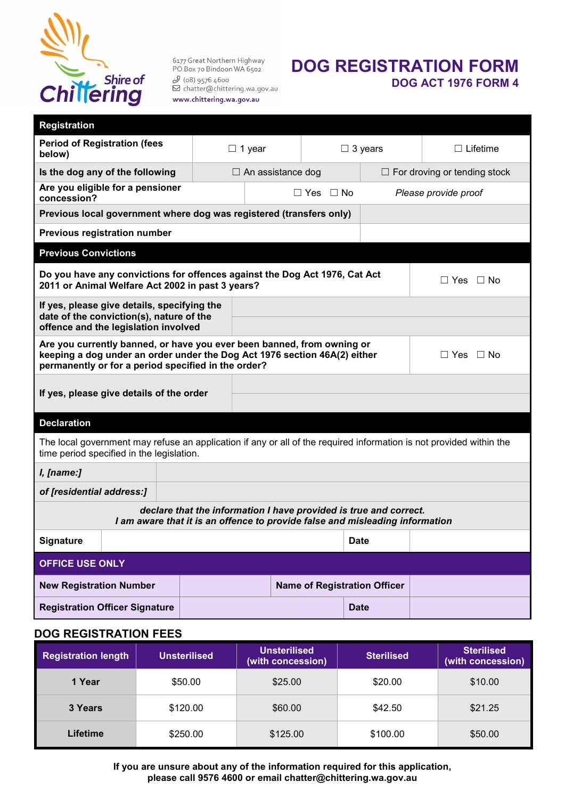

6177 Great Northern Highway PO Box 70 Bindoon WA 6502  $\mathcal{S}$  (o8) 9576 4600<br> $\Box$  chatter@chittering.wa.gov.au www.chittering.wa.gov.au

### **DOG REGISTRATION FORM DOG ACT 1976 FORM 4**

| <b>Registration</b>                                                                                                                                                                                                              |  |                          |                                     |                                     |                      |  |  |  |  |  |
|----------------------------------------------------------------------------------------------------------------------------------------------------------------------------------------------------------------------------------|--|--------------------------|-------------------------------------|-------------------------------------|----------------------|--|--|--|--|--|
| <b>Period of Registration (fees</b><br>below)                                                                                                                                                                                    |  | $\Box$ 1 year            |                                     | $\Box$ 3 years                      | $\Box$ Lifetime      |  |  |  |  |  |
| Is the dog any of the following                                                                                                                                                                                                  |  | $\Box$ An assistance dog |                                     | $\Box$ For droving or tending stock |                      |  |  |  |  |  |
| Are you eligible for a pensioner<br>concession?                                                                                                                                                                                  |  |                          | $\Box$ Yes $\Box$ No                |                                     | Please provide proof |  |  |  |  |  |
| Previous local government where dog was registered (transfers only)                                                                                                                                                              |  |                          |                                     |                                     |                      |  |  |  |  |  |
| Previous registration number                                                                                                                                                                                                     |  |                          |                                     |                                     |                      |  |  |  |  |  |
| <b>Previous Convictions</b>                                                                                                                                                                                                      |  |                          |                                     |                                     |                      |  |  |  |  |  |
| Do you have any convictions for offences against the Dog Act 1976, Cat Act<br>$\Box$ Yes $\Box$ No<br>2011 or Animal Welfare Act 2002 in past 3 years?                                                                           |  |                          |                                     |                                     |                      |  |  |  |  |  |
| If yes, please give details, specifying the<br>date of the conviction(s), nature of the<br>offence and the legislation involved                                                                                                  |  |                          |                                     |                                     |                      |  |  |  |  |  |
| Are you currently banned, or have you ever been banned, from owning or<br>keeping a dog under an order under the Dog Act 1976 section 46A(2) either<br>$\Box$ Yes<br>⊟ No<br>permanently or for a period specified in the order? |  |                          |                                     |                                     |                      |  |  |  |  |  |
| If yes, please give details of the order                                                                                                                                                                                         |  |                          |                                     |                                     |                      |  |  |  |  |  |
|                                                                                                                                                                                                                                  |  |                          |                                     |                                     |                      |  |  |  |  |  |
| <b>Declaration</b>                                                                                                                                                                                                               |  |                          |                                     |                                     |                      |  |  |  |  |  |
| The local government may refuse an application if any or all of the required information is not provided within the<br>time period specified in the legislation.                                                                 |  |                          |                                     |                                     |                      |  |  |  |  |  |
| I, [name:]                                                                                                                                                                                                                       |  |                          |                                     |                                     |                      |  |  |  |  |  |
| of [residential address:]                                                                                                                                                                                                        |  |                          |                                     |                                     |                      |  |  |  |  |  |
| declare that the information I have provided is true and correct.<br>I am aware that it is an offence to provide false and misleading information                                                                                |  |                          |                                     |                                     |                      |  |  |  |  |  |
| Signature                                                                                                                                                                                                                        |  |                          |                                     | <b>Date</b>                         |                      |  |  |  |  |  |
| <b>OFFICE USE ONLY</b>                                                                                                                                                                                                           |  |                          |                                     |                                     |                      |  |  |  |  |  |
| <b>New Registration Number</b>                                                                                                                                                                                                   |  |                          | <b>Name of Registration Officer</b> |                                     |                      |  |  |  |  |  |
| <b>Registration Officer Signature</b>                                                                                                                                                                                            |  |                          |                                     | <b>Date</b>                         |                      |  |  |  |  |  |

#### **DOG REGISTRATION FEES**

| <b>Registration length</b> | Unsterilised | <b>Unsterilised</b><br>(with concession) | <b>Sterilised</b> | <b>Sterilised</b><br>(with concession) |  |  |  |
|----------------------------|--------------|------------------------------------------|-------------------|----------------------------------------|--|--|--|
| 1 Year                     | \$50.00      | \$25.00                                  | \$20.00           | \$10.00                                |  |  |  |
| 3 Years                    | \$120.00     | \$60.00                                  | \$42.50           | \$21.25                                |  |  |  |
| Lifetime                   | \$250.00     | \$125.00                                 | \$100.00          | \$50.00                                |  |  |  |

**If you are unsure about any of the information required for this application, please call 9576 4600 or email chatter@chittering.wa.gov.au**